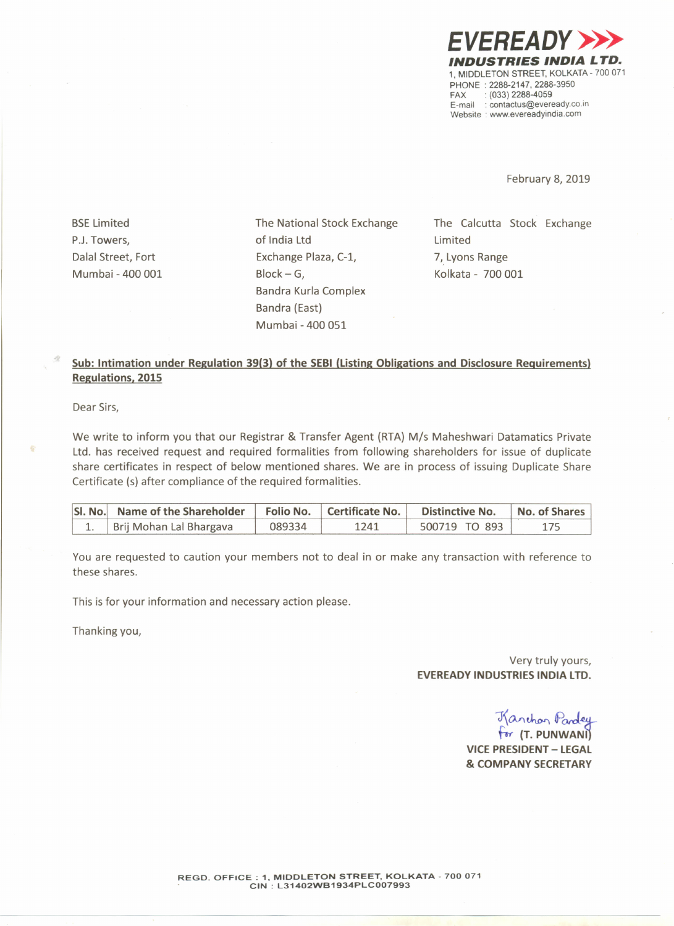

February 8, 2019

**BSE Limited** P.J. Towers, Dalal Street, Fort Mumbai - 400 001 The National Stock Exchange of India Ltd Exchange Plaza, C-l,  $Block - G$ , Bandra Kurla Complex Bandra (East) Mumbai - 400 051

The Calcutta Stock Exchange Limited 7, Lyons Range Kolkata - 700 001

## Sub: Intimation under Regulation 39(3) of the SEBI (Listing Obligations and Disclosure Requirements) Regulations, 2015

Dear Sirs,

We write to inform you that our Registrar & Transfer Agent (RTA) *Mis* Maheshwari Datamatics Private Ltd. has received request and required formalities from following shareholders for issue of duplicate share certificates in respect of below mentioned shares. We are in process of issuing Duplicate Share Certificate (s) after compliance of the required formalities.

| SI. No. Name of the Shareholder |        |      | Folio No.   Certificate No.   Distinctive No. | No. of Shares |
|---------------------------------|--------|------|-----------------------------------------------|---------------|
| Brij Mohan Lal Bhargava         | 089334 | 1241 | 500719 TO 893                                 |               |

You are requested to caution your members not to deal in or make any transaction with reference to these shares.

This is for your information and necessary action please.

Thanking you,

Very truly yours, EVEREADY INDUSTRIES INDIA LTD.

J\OvI~ *PorJ.~*

for (T. PUNWAN) VICE PRESIDENT- LEGAL & COMPANY SECRETARY